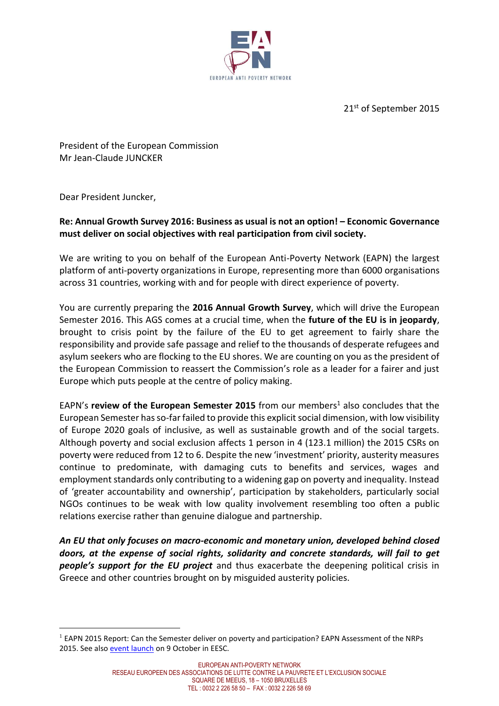

21st of September 2015

President of the European Commission Mr Jean-Claude JUNCKER

Dear President Juncker,

 $\overline{a}$ 

# **Re: Annual Growth Survey 2016: Business as usual is not an option! – Economic Governance must deliver on social objectives with real participation from civil society.**

We are writing to you on behalf of the European Anti-Poverty Network (EAPN) the largest platform of anti-poverty organizations in Europe, representing more than 6000 organisations across 31 countries, working with and for people with direct experience of poverty.

You are currently preparing the **2016 Annual Growth Survey**, which will drive the European Semester 2016. This AGS comes at a crucial time, when the **future of the EU is in jeopardy**, brought to crisis point by the failure of the EU to get agreement to fairly share the responsibility and provide safe passage and relief to the thousands of desperate refugees and asylum seekers who are flocking to the EU shores. We are counting on you as the president of the European Commission to reassert the Commission's role as a leader for a fairer and just Europe which puts people at the centre of policy making.

EAPN's **review of the European Semester 2015** from our members<sup>1</sup> also concludes that the European Semester has so-far failed to provide this explicit social dimension, with low visibility of Europe 2020 goals of inclusive, as well as sustainable growth and of the social targets. Although poverty and social exclusion affects 1 person in 4 (123.1 million) the 2015 CSRs on poverty were reduced from 12 to 6. Despite the new 'investment' priority, austerity measures continue to predominate, with damaging cuts to benefits and services, wages and employment standards only contributing to a widening gap on poverty and inequality. Instead of 'greater accountability and ownership', participation by stakeholders, particularly social NGOs continues to be weak with low quality involvement resembling too often a public relations exercise rather than genuine dialogue and partnership.

*An EU that only focuses on macro-economic and monetary union, developed behind closed doors, at the expense of social rights, solidarity and concrete standards, will fail to get people's support for the EU project* and thus exacerbate the deepening political crisis in Greece and other countries brought on by misguided austerity policies.

<sup>&</sup>lt;sup>1</sup> EAPN 2015 Report: Can the Semester deliver on poverty and participation? EAPN Assessment of the NRPs 2015. See also [event launch](http://www.eapn.eu/en/news-and-publications/news/eapn-news/eapn-2015-annual-policy-conference-can-the-semester-deliver-on-poverty-and-participation) on 9 October in EESC.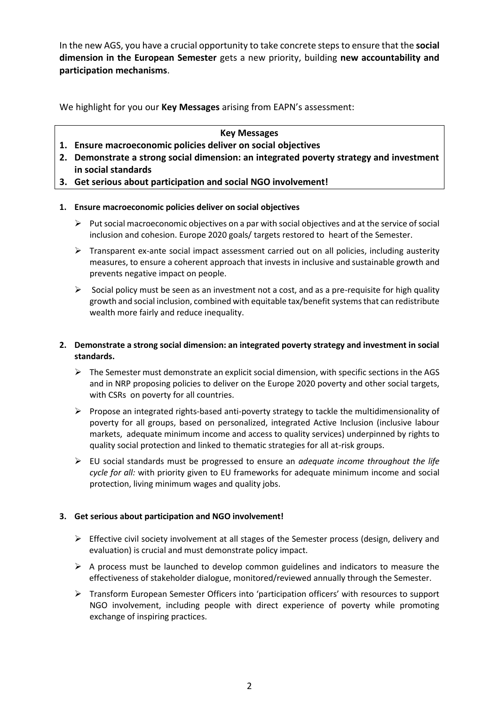In the new AGS, you have a crucial opportunity to take concrete steps to ensure that the **social dimension in the European Semester** gets a new priority, building **new accountability and participation mechanisms**.

We highlight for you our **Key Messages** arising from EAPN's assessment:

#### **Key Messages**

- **1. Ensure macroeconomic policies deliver on social objectives**
- **2. Demonstrate a strong social dimension: an integrated poverty strategy and investment in social standards**
- **3. Get serious about participation and social NGO involvement!**

### **1. Ensure macroeconomic policies deliver on social objectives**

- $\triangleright$  Put social macroeconomic objectives on a par with social objectives and at the service of social inclusion and cohesion. Europe 2020 goals/ targets restored to heart of the Semester.
- $\triangleright$  Transparent ex-ante social impact assessment carried out on all policies, including austerity measures, to ensure a coherent approach that invests in inclusive and sustainable growth and prevents negative impact on people.
- $\triangleright$  Social policy must be seen as an investment not a cost, and as a pre-requisite for high quality growth and social inclusion, combined with equitable tax/benefit systems that can redistribute wealth more fairly and reduce inequality.

### **2. Demonstrate a strong social dimension: an integrated poverty strategy and investment in social standards.**

- $\triangleright$  The Semester must demonstrate an explicit social dimension, with specific sections in the AGS and in NRP proposing policies to deliver on the Europe 2020 poverty and other social targets, with CSRs on poverty for all countries.
- $\triangleright$  Propose an integrated rights-based anti-poverty strategy to tackle the multidimensionality of poverty for all groups, based on personalized, integrated Active Inclusion (inclusive labour markets, adequate minimum income and access to quality services) underpinned by rights to quality social protection and linked to thematic strategies for all at-risk groups.
- EU social standards must be progressed to ensure an *adequate income throughout the life cycle for all:* with priority given to EU frameworks for adequate minimum income and social protection, living minimum wages and quality jobs.

### **3. Get serious about participation and NGO involvement!**

- $\triangleright$  Effective civil society involvement at all stages of the Semester process (design, delivery and evaluation) is crucial and must demonstrate policy impact.
- $\triangleright$  A process must be launched to develop common guidelines and indicators to measure the effectiveness of stakeholder dialogue, monitored/reviewed annually through the Semester.
- Transform European Semester Officers into 'participation officers' with resources to support NGO involvement, including people with direct experience of poverty while promoting exchange of inspiring practices.